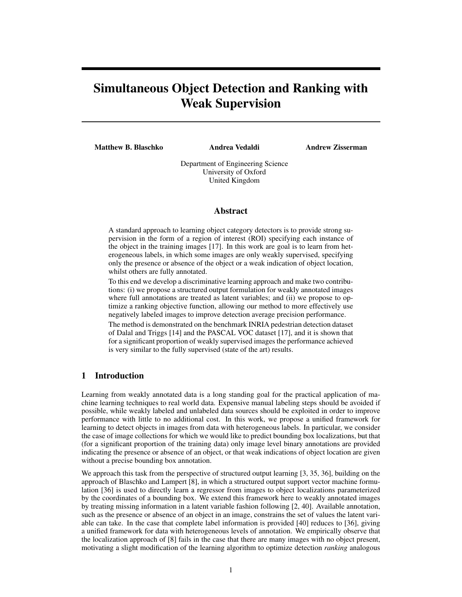# Simultaneous Object Detection and Ranking with Weak Supervision

Matthew B. Blaschko **Andrea Vedaldi** 

Andrew Zisserman

Department of Engineering Science University of Oxford United Kingdom

#### Abstract

A standard approach to learning object category detectors is to provide strong supervision in the form of a region of interest (ROI) specifying each instance of the object in the training images [17]. In this work are goal is to learn from heterogeneous labels, in which some images are only weakly supervised, specifying only the presence or absence of the object or a weak indication of object location, whilst others are fully annotated.

To this end we develop a discriminative learning approach and make two contributions: (i) we propose a structured output formulation for weakly annotated images where full annotations are treated as latent variables; and (ii) we propose to optimize a ranking objective function, allowing our method to more effectively use negatively labeled images to improve detection average precision performance.

The method is demonstrated on the benchmark INRIA pedestrian detection dataset of Dalal and Triggs [14] and the PASCAL VOC dataset [17], and it is shown that for a significant proportion of weakly supervised images the performance achieved is very similar to the fully supervised (state of the art) results.

## 1 Introduction

Learning from weakly annotated data is a long standing goal for the practical application of machine learning techniques to real world data. Expensive manual labeling steps should be avoided if possible, while weakly labeled and unlabeled data sources should be exploited in order to improve performance with little to no additional cost. In this work, we propose a unified framework for learning to detect objects in images from data with heterogeneous labels. In particular, we consider the case of image collections for which we would like to predict bounding box localizations, but that (for a significant proportion of the training data) only image level binary annotations are provided indicating the presence or absence of an object, or that weak indications of object location are given without a precise bounding box annotation.

We approach this task from the perspective of structured output learning [3, 35, 36], building on the approach of Blaschko and Lampert [8], in which a structured output support vector machine formulation [36] is used to directly learn a regressor from images to object localizations parameterized by the coordinates of a bounding box. We extend this framework here to weakly annotated images by treating missing information in a latent variable fashion following [2, 40]. Available annotation, such as the presence or absence of an object in an image, constrains the set of values the latent variable can take. In the case that complete label information is provided [40] reduces to [36], giving a unified framework for data with heterogeneous levels of annotation. We empirically observe that the localization approach of [8] fails in the case that there are many images with no object present, motivating a slight modification of the learning algorithm to optimize detection *ranking* analogous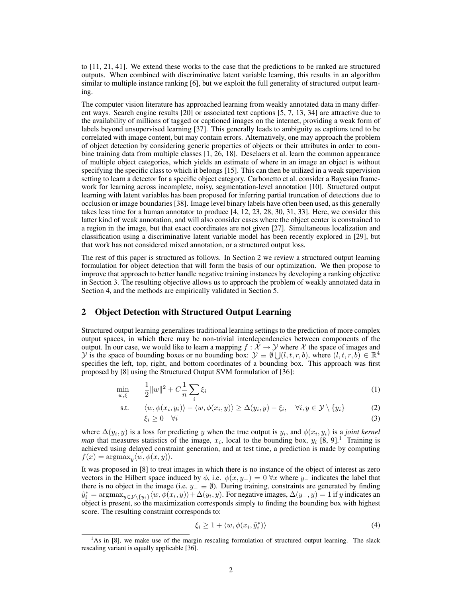to [11, 21, 41]. We extend these works to the case that the predictions to be ranked are structured outputs. When combined with discriminative latent variable learning, this results in an algorithm similar to multiple instance ranking [6], but we exploit the full generality of structured output learning.

The computer vision literature has approached learning from weakly annotated data in many different ways. Search engine results [20] or associated text captions [5, 7, 13, 34] are attractive due to the availability of millions of tagged or captioned images on the internet, providing a weak form of labels beyond unsupervised learning [37]. This generally leads to ambiguity as captions tend to be correlated with image content, but may contain errors. Alternatively, one may approach the problem of object detection by considering generic properties of objects or their attributes in order to combine training data from multiple classes [1, 26, 18]. Deselaers et al. learn the common appearance of multiple object categories, which yields an estimate of where in an image an object is without specifying the specific class to which it belongs [15]. This can then be utilized in a weak supervision setting to learn a detector for a specific object category. Carbonetto et al. consider a Bayesian framework for learning across incomplete, noisy, segmentation-level annotation [10]. Structured output learning with latent variables has been proposed for inferring partial truncation of detections due to occlusion or image boundaries [38]. Image level binary labels have often been used, as this generally takes less time for a human annotator to produce [4, 12, 23, 28, 30, 31, 33]. Here, we consider this latter kind of weak annotation, and will also consider cases where the object center is constrained to a region in the image, but that exact coordinates are not given [27]. Simultaneous localization and classification using a discriminative latent variable model has been recently explored in [29], but that work has not considered mixed annotation, or a structured output loss.

The rest of this paper is structured as follows. In Section 2 we review a structured output learning formulation for object detection that will form the basis of our optimization. We then propose to improve that approach to better handle negative training instances by developing a ranking objective in Section 3. The resulting objective allows us to approach the problem of weakly annotated data in Section 4, and the methods are empirically validated in Section 5.

## 2 Object Detection with Structured Output Learning

Structured output learning generalizes traditional learning settings to the prediction of more complex output spaces, in which there may be non-trivial interdependencies between components of the output. In our case, we would like to learn a mapping  $f : \mathcal{X} \to \mathcal{Y}$  where X the space of images and y is the space of bounding boxes or no bounding box:  $\mathcal{Y} \equiv \emptyset \bigcup (l, t, r, b)$ , where  $(l, t, r, b) \in \mathbb{R}^4$ specifies the left, top, right, and bottom coordinates of a bounding box. This approach was first proposed by [8] using the Structured Output SVM formulation of [36]:

$$
\min_{w,\xi} \qquad \frac{1}{2} \|w\|^2 + C \frac{1}{n} \sum_{i} \xi_i \tag{1}
$$

s.t. 
$$
\langle w, \phi(x_i, y_i) \rangle - \langle w, \phi(x_i, y) \rangle \ge \Delta(y_i, y) - \xi_i, \quad \forall i, y \in \mathcal{Y} \setminus \{y_i\}
$$
 (2)  
 $\xi_i \ge 0 \quad \forall i$  (3)

where  $\Delta(y_i, y)$  is a loss for predicting y when the true output is  $y_i$ , and  $\phi(x_i, y_i)$  is a *joint kernel map* that measures statistics of the image,  $x_i$ , local to the bounding box,  $y_i$  [8, 9].<sup>1</sup> Training is achieved using delayed constraint generation, and at test time, a prediction is made by computing  $f(x) = \operatorname{argmax}_y \langle w, \phi(x, y) \rangle.$ 

It was proposed in [8] to treat images in which there is no instance of the object of interest as zero vectors in the Hilbert space induced by  $\phi$ , i.e.  $\phi(x, y_-) = 0 \ \forall x$  where y<sub>−</sub> indicates the label that there is no object in the image (i.e.  $y_ = \equiv \emptyset$ ). During training, constraints are generated by finding  $\tilde{y}_i^* = \operatorname{argmax}_{y \in \mathcal{Y} \setminus \{y_i\}} \langle w, \phi(x_i, y) \rangle + \Delta(y_i, y)$ . For negative images,  $\Delta(y_-, y) = 1$  if y indicates an object is present, so the maximization corresponds simply to finding the bounding box with highest score. The resulting constraint corresponds to:

$$
\xi_i \ge 1 + \langle w, \phi(x_i, \tilde{y}_i^*) \rangle \tag{4}
$$

<sup>&</sup>lt;sup>1</sup>As in [8], we make use of the margin rescaling formulation of structured output learning. The slack rescaling variant is equally applicable [36].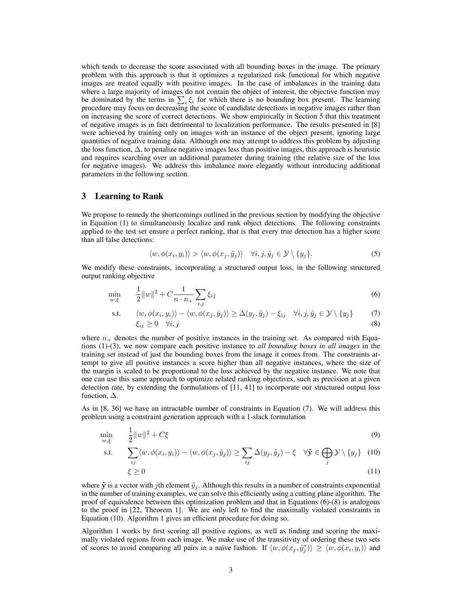which tends to decrease the score associated with all bounding boxes in the image. The primary problem with this approach is that it optimizes a regularized risk functional for which negative images are treated equally with positive images. In the case of imbalances in the training data where a large majority of images do not contain the object of interest, the objective function may be dominated by the terms in  $\sum_i \xi_i$  for which there is no bounding box present. The learning procedure may focus on decreasing the score of candidate detections in negative images rather than on increasing the score of correct detections. We show empirically in Section 5 that this treatment of negative images is in fact detrimental to localization performance. The results presented in [8] were achieved by training only on images with an instance of the object present, ignoring large quantities of negative training data. Although one may attempt to address this problem by adjusting the loss function, ∆, to penalize negative images less than positive images, this approach is heuristic and requires searching over an additional parameter during training (the relative size of the loss for negative images). We address this imbalance more elegantly without introducing additional parameters in the following section.

## 3 Learning to Rank

We propose to remedy the shortcomings outlined in the previous section by modifying the objective in Equation (1) to simultaneously localize and rank object detections. The following constraints applied to the test set ensure a perfect ranking, that is that every true detection has a higher score than all false detections:

$$
\langle w, \phi(x_i, y_i) \rangle > \langle w, \phi(x_j, \tilde{y}_j) \rangle \quad \forall i, j, \tilde{y}_j \in \mathcal{Y} \setminus \{y_j\}.
$$
 (5)

We modify these constraints, incorporating a structured output loss, in the following structured output ranking objective

$$
\min_{w,\xi} \qquad \frac{1}{2} \|w\|^2 + C \frac{1}{n \cdot n_+} \sum_{i,j} \xi_{ij} \tag{6}
$$

s.t. 
$$
\langle w, \phi(x_i, y_i) \rangle - \langle w, \phi(x_j, \tilde{y}_j) \rangle \ge \Delta(y_j, \tilde{y}_j) - \xi_{ij} \quad \forall i, j, \tilde{y}_j \in \mathcal{Y} \setminus \{y_j\}
$$
 (7)  
 $\xi_{ij} \ge 0 \quad \forall i, j$  (8)

where  $n_+$  denotes the number of positive instances in the training set. As compared with Equations (1)-(3), we now compare each positive instance to *all bounding boxes in all images* in the training set instead of just the bounding boxes from the image it comes from. The constraints attempt to give all positive instances a score higher than all negative instances, where the size of the margin is scaled to be proportional to the loss achieved by the negative instance. We note that one can use this same approach to optimize related ranking objectives, such as precision at a given detection rate, by extending the formulations of [11, 41] to incorporate our structured output loss function,  $\Delta$ .

As in [8, 36] we have an intractable number of constraints in Equation (7). We will address this problem using a constraint generation approach with a 1-slack formulation

$$
\min_{w,\xi} \qquad \frac{1}{2} \|w\|^2 + C\xi \tag{9}
$$

s.t. 
$$
\sum_{ij} \langle w, \phi(x_i, y_i) \rangle - \langle w, \phi(x_j, \tilde{y}_j) \rangle \ge \sum_{ij} \Delta(y_j, \tilde{y}_j) - \xi \quad \forall \tilde{\mathbf{y}} \in \bigoplus_j \mathcal{Y} \setminus \{y_j\} \quad (10)
$$

$$
\xi \ge 0\tag{11}
$$

where  $\tilde{y}$  is a vector with jth element  $\tilde{y}_j$ . Although this results in a number of constraints exponential in the number of training examples, we can solve this efficiently using a cutting plane algorithm. The proof of equivalence between this optimization problem and that in Equations (6)-(8) is analogous to the proof in [22, Theorem 1]. We are only left to find the maximally violated constraints in Equation (10). Algorithm 1 gives an efficient procedure for doing so.

Algorithm 1 works by first scoring all positive regions, as well as finding and scoring the maximally violated regions from each image. We make use of the transitivity of ordering these two sets of scores to avoid comparing all pairs in a naïve fashion. If  $\langle w, \phi(x_j, \tilde{y}_j^*) \rangle \ge \langle w, \phi(x_i, y_i) \rangle$  and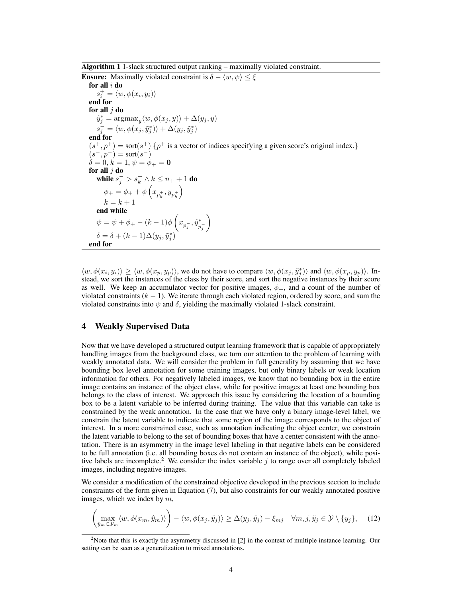Algorithm 1 1-slack structured output ranking – maximally violated constraint.

**Ensure:** Maximally violated constraint is  $\delta - \langle w, \psi \rangle \leq \xi$ for all i do  $s_i^+ = \langle w, \phi(x_i, y_i) \rangle$ end for for all  $j$  do  $\tilde{y}_j^* = \operatorname{argmax}_y \langle w, \phi(x_j, y) \rangle + \Delta(y_j, y)$  $s_j^-=\langle w,\phi(x_j,\tilde{y}_j^*)\rangle+\Delta(y_j,\tilde{y}_j^*)$ end for  $(s^+, p^+)$  = sort $(s^+)$  { $p^+$  is a vector of indices specifying a given score's original index.}  $(s^-, p^-) = \text{sort}(s^-)$  $\dot{\delta} = 0, \, \dot{k} = 1, \, \psi = \dot{\phi}_{+} = 0$ for all  $j$  do while  $s_j^->s_k^+\wedge k\leq n_++1$  do  $\phi_+ = \phi_+ + \phi \left( x_{p_k^+}, y_{p_k^+} \right)$  $\setminus$  $k = k + 1$ end while  $\psi = \psi + \phi_+ - (k-1) \phi\left(x_{p_j^-}, \tilde{y}^*_p\right)$  $p_j^ \setminus$  $\delta = \delta + (k-1)\Delta(y_j, \tilde{y}_j^*)$ end for

 $\langle w, \phi(x_i, y_i) \rangle \ge \langle w, \phi(x_p, y_p) \rangle$ , we do not have to compare  $\langle w, \phi(x_j, \tilde{y}_j^*) \rangle$  and  $\langle w, \phi(x_p, y_p) \rangle$ . Instead, we sort the instances of the class by their score, and sort the negative instances by their score as well. We keep an accumulator vector for positive images,  $\phi_{+}$ , and a count of the number of violated constraints  $(k - 1)$ . We iterate through each violated region, ordered by score, and sum the violated constraints into  $\psi$  and  $\delta$ , yielding the maximally violated 1-slack constraint.

## 4 Weakly Supervised Data

Now that we have developed a structured output learning framework that is capable of appropriately handling images from the background class, we turn our attention to the problem of learning with weakly annotated data. We will consider the problem in full generality by assuming that we have bounding box level annotation for some training images, but only binary labels or weak location information for others. For negatively labeled images, we know that no bounding box in the entire image contains an instance of the object class, while for positive images at least one bounding box belongs to the class of interest. We approach this issue by considering the location of a bounding box to be a latent variable to be inferred during training. The value that this variable can take is constrained by the weak annotation. In the case that we have only a binary image-level label, we constrain the latent variable to indicate that some region of the image corresponds to the object of interest. In a more constrained case, such as annotation indicating the object center, we constrain the latent variable to belong to the set of bounding boxes that have a center consistent with the annotation. There is an asymmetry in the image level labeling in that negative labels can be considered to be full annotation (i.e. all bounding boxes do not contain an instance of the object), while positive labels are incomplete.<sup>2</sup> We consider the index variable  $j$  to range over all completely labeled images, including negative images.

We consider a modification of the constrained objective developed in the previous section to include constraints of the form given in Equation (7), but also constraints for our weakly annotated positive images, which we index by  $m$ ,

$$
\left(\max_{\hat{y}_m \in \mathcal{Y}_m} \langle w, \phi(x_m, \hat{y}_m) \rangle\right) - \langle w, \phi(x_j, \tilde{y}_j) \rangle \ge \Delta(y_j, \tilde{y}_j) - \xi_{mj} \quad \forall m, j, \tilde{y}_j \in \mathcal{Y} \setminus \{y_j\},\tag{12}
$$

<sup>&</sup>lt;sup>2</sup>Note that this is exactly the asymmetry discussed in [2] in the context of multiple instance learning. Our setting can be seen as a generalization to mixed annotations.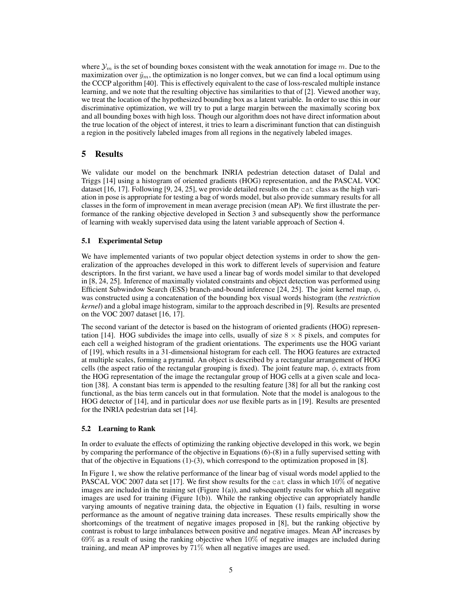where  $\mathcal{Y}_m$  is the set of bounding boxes consistent with the weak annotation for image m. Due to the maximization over  $\hat{y}_m$ , the optimization is no longer convex, but we can find a local optimum using the CCCP algorithm [40]. This is effectively equivalent to the case of loss-rescaled multiple instance learning, and we note that the resulting objective has similarities to that of [2]. Viewed another way, we treat the location of the hypothesized bounding box as a latent variable. In order to use this in our discriminative optimization, we will try to put a large margin between the maximally scoring box and all bounding boxes with high loss. Though our algorithm does not have direct information about the true location of the object of interest, it tries to learn a discriminant function that can distinguish a region in the positively labeled images from all regions in the negatively labeled images.

# 5 Results

We validate our model on the benchmark INRIA pedestrian detection dataset of Dalal and Triggs [14] using a histogram of oriented gradients (HOG) representation, and the PASCAL VOC dataset  $[16, 17]$ . Following  $[9, 24, 25]$ , we provide detailed results on the cat class as the high variation in pose is appropriate for testing a bag of words model, but also provide summary results for all classes in the form of improvement in mean average precision (mean AP). We first illustrate the performance of the ranking objective developed in Section 3 and subsequently show the performance of learning with weakly supervised data using the latent variable approach of Section 4.

## 5.1 Experimental Setup

We have implemented variants of two popular object detection systems in order to show the generalization of the approaches developed in this work to different levels of supervision and feature descriptors. In the first variant, we have used a linear bag of words model similar to that developed in [8, 24, 25]. Inference of maximally violated constraints and object detection was performed using Efficient Subwindow Search (ESS) branch-and-bound inference [24, 25]. The joint kernel map,  $\phi$ , was constructed using a concatenation of the bounding box visual words histogram (the *restriction kernel*) and a global image histogram, similar to the approach described in [9]. Results are presented on the VOC 2007 dataset [16, 17].

The second variant of the detector is based on the histogram of oriented gradients (HOG) representation [14]. HOG subdivides the image into cells, usually of size  $8 \times 8$  pixels, and computes for each cell a weighed histogram of the gradient orientations. The experiments use the HOG variant of [19], which results in a 31-dimensional histogram for each cell. The HOG features are extracted at multiple scales, forming a pyramid. An object is described by a rectangular arrangement of HOG cells (the aspect ratio of the rectangular grouping is fixed). The joint feature map,  $\phi$ , extracts from the HOG representation of the image the rectangular group of HOG cells at a given scale and location [38]. A constant bias term is appended to the resulting feature [38] for all but the ranking cost functional, as the bias term cancels out in that formulation. Note that the model is analogous to the HOG detector of [14], and in particular does *not* use flexible parts as in [19]. Results are presented for the INRIA pedestrian data set [14].

#### 5.2 Learning to Rank

In order to evaluate the effects of optimizing the ranking objective developed in this work, we begin by comparing the performance of the objective in Equations (6)-(8) in a fully supervised setting with that of the objective in Equations (1)-(3), which correspond to the optimization proposed in [8].

In Figure 1, we show the relative performance of the linear bag of visual words model applied to the PASCAL VOC 2007 data set [17]. We first show results for the cat class in which 10% of negative images are included in the training set (Figure  $1(a)$ ), and subsequently results for which all negative images are used for training (Figure 1(b)). While the ranking objective can appropriately handle varying amounts of negative training data, the objective in Equation (1) fails, resulting in worse performance as the amount of negative training data increases. These results empirically show the shortcomings of the treatment of negative images proposed in [8], but the ranking objective by contrast is robust to large imbalances between positive and negative images. Mean AP increases by 69% as a result of using the ranking objective when 10% of negative images are included during training, and mean AP improves by 71% when all negative images are used.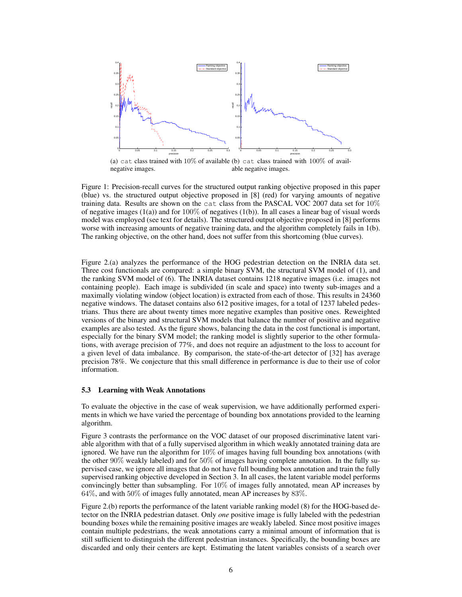

Figure 1: Precision-recall curves for the structured output ranking objective proposed in this paper (blue) vs. the structured output objective proposed in [8] (red) for varying amounts of negative training data. Results are shown on the cat class from the PASCAL VOC 2007 data set for 10% of negative images  $(1(a))$  and for  $100\%$  of negatives  $(1(b))$ . In all cases a linear bag of visual words model was employed (see text for details). The structured output objective proposed in [8] performs worse with increasing amounts of negative training data, and the algorithm completely fails in 1(b). The ranking objective, on the other hand, does not suffer from this shortcoming (blue curves).

Figure 2.(a) analyzes the performance of the HOG pedestrian detection on the INRIA data set. Three cost functionals are compared: a simple binary SVM, the structural SVM model of (1), and the ranking SVM model of (6). The INRIA dataset contains 1218 negative images (i.e. images not containing people). Each image is subdivided (in scale and space) into twenty sub-images and a maximally violating window (object location) is extracted from each of those. This results in 24360 negative windows. The dataset contains also 612 positive images, for a total of 1237 labeled pedestrians. Thus there are about twenty times more negative examples than positive ones. Reweighted versions of the binary and structural SVM models that balance the number of positive and negative examples are also tested. As the figure shows, balancing the data in the cost functional is important, especially for the binary SVM model; the ranking model is slightly superior to the other formulations, with average precision of 77%, and does not require an adjustment to the loss to account for a given level of data imbalance. By comparison, the state-of-the-art detector of [32] has average precision 78%. We conjecture that this small difference in performance is due to their use of color information.

#### 5.3 Learning with Weak Annotations

To evaluate the objective in the case of weak supervision, we have additionally performed experiments in which we have varied the percentage of bounding box annotations provided to the learning algorithm.

Figure 3 contrasts the performance on the VOC dataset of our proposed discriminative latent variable algorithm with that of a fully supervised algorithm in which weakly annotated training data are ignored. We have run the algorithm for  $10\%$  of images having full bounding box annotations (with the other 90% weakly labeled) and for 50% of images having complete annotation. In the fully supervised case, we ignore all images that do not have full bounding box annotation and train the fully supervised ranking objective developed in Section 3. In all cases, the latent variable model performs convincingly better than subsampling. For 10% of images fully annotated, mean AP increases by 64%, and with 50% of images fully annotated, mean AP increases by 83%.

Figure 2.(b) reports the performance of the latent variable ranking model (8) for the HOG-based detector on the INRIA pedestrian dataset. Only *one* positive image is fully labeled with the pedestrian bounding boxes while the remaining positive images are weakly labeled. Since most positive images contain multiple pedestrians, the weak annotations carry a minimal amount of information that is still sufficient to distinguish the different pedestrian instances. Specifically, the bounding boxes are discarded and only their centers are kept. Estimating the latent variables consists of a search over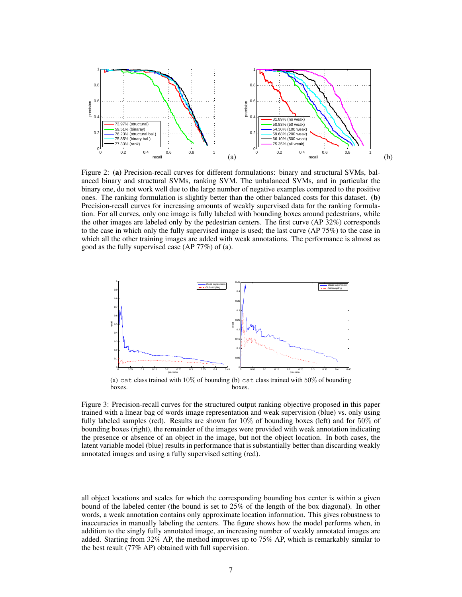

Figure 2: (a) Precision-recall curves for different formulations: binary and structural SVMs, balanced binary and structural SVMs, ranking SVM. The unbalanced SVMs, and in particular the binary one, do not work well due to the large number of negative examples compared to the positive ones. The ranking formulation is slightly better than the other balanced costs for this dataset. (b) Precision-recall curves for increasing amounts of weakly supervised data for the ranking formulation. For all curves, only one image is fully labeled with bounding boxes around pedestrians, while the other images are labeled only by the pedestrian centers. The first curve (AP 32%) corresponds to the case in which only the fully supervised image is used; the last curve (AP 75%) to the case in which all the other training images are added with weak annotations. The performance is almost as good as the fully supervised case (AP 77%) of (a).



(a) cat class trained with  $10\%$  of bounding (b) cat class trained with  $50\%$  of bounding boxes. boxes.

Figure 3: Precision-recall curves for the structured output ranking objective proposed in this paper trained with a linear bag of words image representation and weak supervision (blue) vs. only using fully labeled samples (red). Results are shown for  $10\%$  of bounding boxes (left) and for  $50\%$  of bounding boxes (right), the remainder of the images were provided with weak annotation indicating the presence or absence of an object in the image, but not the object location. In both cases, the latent variable model (blue) results in performance that is substantially better than discarding weakly annotated images and using a fully supervised setting (red).

all object locations and scales for which the corresponding bounding box center is within a given bound of the labeled center (the bound is set to 25% of the length of the box diagonal). In other words, a weak annotation contains only approximate location information. This gives robustness to inaccuracies in manually labeling the centers. The figure shows how the model performs when, in addition to the singly fully annotated image, an increasing number of weakly annotated images are added. Starting from 32% AP, the method improves up to 75% AP, which is remarkably similar to the best result (77% AP) obtained with full supervision.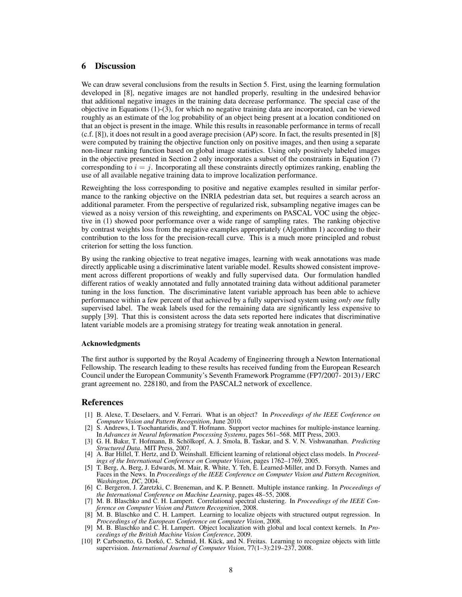# 6 Discussion

We can draw several conclusions from the results in Section 5. First, using the learning formulation developed in [8], negative images are not handled properly, resulting in the undesired behavior that additional negative images in the training data decrease performance. The special case of the objective in Equations (1)-(3), for which no negative training data are incorporated, can be viewed roughly as an estimate of the log probability of an object being present at a location conditioned on that an object is present in the image. While this results in reasonable performance in terms of recall (c.f. [8]), it does not result in a good average precision (AP) score. In fact, the results presented in [8] were computed by training the objective function only on positive images, and then using a separate non-linear ranking function based on global image statistics. Using only positively labeled images in the objective presented in Section 2 only incorporates a subset of the constraints in Equation (7) corresponding to  $i = j$ . Incorporating all these constraints directly optimizes ranking, enabling the use of all available negative training data to improve localization performance.

Reweighting the loss corresponding to positive and negative examples resulted in similar performance to the ranking objective on the INRIA pedestrian data set, but requires a search across an additional parameter. From the perspective of regularized risk, subsampling negative images can be viewed as a noisy version of this reweighting, and experiments on PASCAL VOC using the objective in (1) showed poor performance over a wide range of sampling rates. The ranking objective by contrast weights loss from the negative examples appropriately (Algorithm 1) according to their contribution to the loss for the precision-recall curve. This is a much more principled and robust criterion for setting the loss function.

By using the ranking objective to treat negative images, learning with weak annotations was made directly applicable using a discriminative latent variable model. Results showed consistent improvement across different proportions of weakly and fully supervised data. Our formulation handled different ratios of weakly annotated and fully annotated training data without additional parameter tuning in the loss function. The discriminative latent variable approach has been able to achieve performance within a few percent of that achieved by a fully supervised system using *only one* fully supervised label. The weak labels used for the remaining data are significantly less expensive to supply [39]. That this is consistent across the data sets reported here indicates that discriminative latent variable models are a promising strategy for treating weak annotation in general.

#### Acknowledgments

The first author is supported by the Royal Academy of Engineering through a Newton International Fellowship. The research leading to these results has received funding from the European Research Council under the European Community's Seventh Framework Programme (FP7/2007- 2013) / ERC grant agreement no. 228180, and from the PASCAL2 network of excellence.

#### References

- [1] B. Alexe, T. Deselaers, and V. Ferrari. What is an object? In *Proceedings of the IEEE Conference on Computer Vision and Pattern Recognition*, June 2010.
- [2] S. Andrews, I. Tsochantaridis, and T. Hofmann. Support vector machines for multiple-instance learning. In *Advances in Neural Information Processing Systems*, pages 561–568. MIT Press, 2003.
- [3] G. H. Bakır, T. Hofmann, B. Schölkopf, A. J. Smola, B. Taskar, and S. V. N. Vishwanathan. *Predicting Structured Data*. MIT Press, 2007.
- [4] A. Bar Hillel, T. Hertz, and D. Weinshall. Efficient learning of relational object class models. In *Proceedings of the International Conference on Computer Vision*, pages 1762–1769, 2005.
- [5] T. Berg, A. Berg, J. Edwards, M. Mair, R. White, Y. Teh, E. Learned-Miller, and D. Forsyth. Names and Faces in the News. In *Proceedings of the IEEE Conference on Computer Vision and Pattern Recognition, Washington, DC*, 2004.
- [6] C. Bergeron, J. Zaretzki, C. Breneman, and K. P. Bennett. Multiple instance ranking. In *Proceedings of the International Conference on Machine Learning*, pages 48–55, 2008.
- [7] M. B. Blaschko and C. H. Lampert. Correlational spectral clustering. In *Proceedings of the IEEE Conference on Computer Vision and Pattern Recognition*, 2008.
- [8] M. B. Blaschko and C. H. Lampert. Learning to localize objects with structured output regression. In *Proceedings of the European Conference on Computer Vision*, 2008.
- [9] M. B. Blaschko and C. H. Lampert. Object localization with global and local context kernels. In *Proceedings of the British Machine Vision Conference*, 2009.
- [10] P. Carbonetto, G. Dorkó, C. Schmid, H. Kück, and N. Freitas. Learning to recognize objects with little supervision. *International Journal of Computer Vision*, 77(1–3):219–237, 2008.